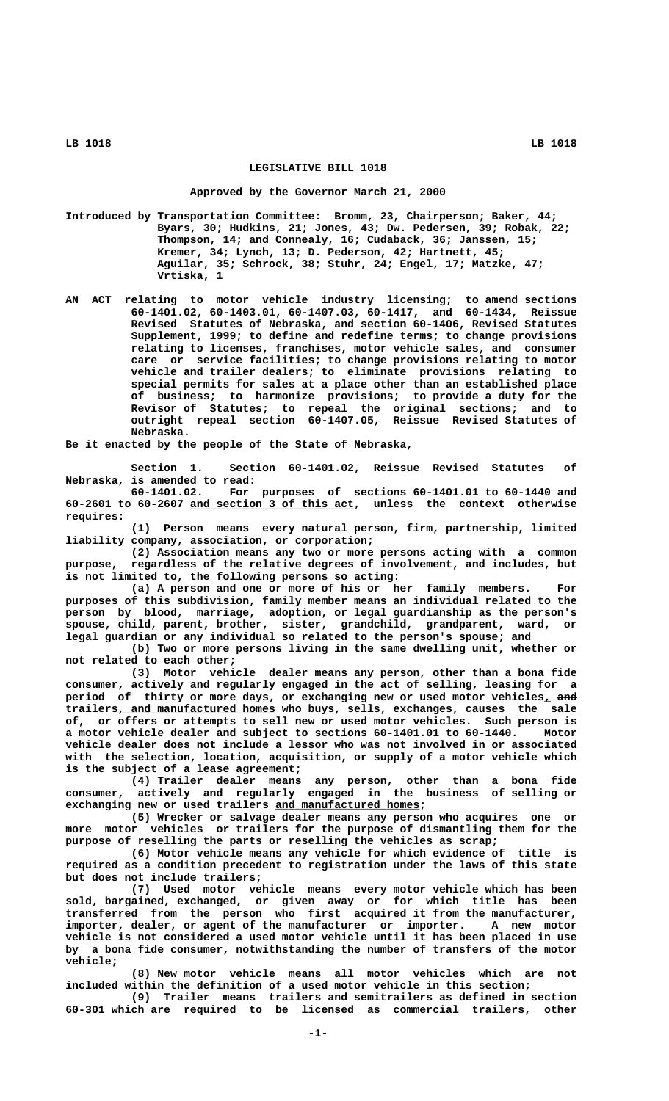## **LEGISLATIVE BILL 1018**

## **Approved by the Governor March 21, 2000**

**Introduced by Transportation Committee: Bromm, 23, Chairperson; Baker, 44; Byars, 30; Hudkins, 21; Jones, 43; Dw. Pedersen, 39; Robak, 22; Thompson, 14; and Connealy, 16; Cudaback, 36; Janssen, 15; Kremer, 34; Lynch, 13; D. Pederson, 42; Hartnett, 45; Aguilar, 35; Schrock, 38; Stuhr, 24; Engel, 17; Matzke, 47; Vrtiska, 1**

**AN ACT relating to motor vehicle industry licensing; to amend sections 60-1401.02, 60-1403.01, 60-1407.03, 60-1417, and 60-1434, Reissue Revised Statutes of Nebraska, and section 60-1406, Revised Statutes Supplement, 1999; to define and redefine terms; to change provisions relating to licenses, franchises, motor vehicle sales, and consumer care or service facilities; to change provisions relating to motor vehicle and trailer dealers; to eliminate provisions relating to special permits for sales at a place other than an established place of business; to harmonize provisions; to provide a duty for the Revisor of Statutes; to repeal the original sections; and to outright repeal section 60-1407.05, Reissue Revised Statutes of Nebraska.**

**Be it enacted by the people of the State of Nebraska,**

**Section 1. Section 60-1401.02, Reissue Revised Statutes of Nebraska, is amended to read:**

**60-1401.02. For purposes of sections 60-1401.01 to 60-1440 and \_\_\_\_\_\_\_\_\_\_\_\_\_\_\_\_\_\_\_\_\_\_\_\_\_ 60-2601 to 60-2607 and section 3 of this act, unless the context otherwise requires:**

**(1) Person means every natural person, firm, partnership, limited liability company, association, or corporation;**

**(2) Association means any two or more persons acting with a common purpose, regardless of the relative degrees of involvement, and includes, but is not limited to, the following persons so acting:**

**(a) A person and one or more of his or her family members. For purposes of this subdivision, family member means an individual related to the person by blood, marriage, adoption, or legal guardianship as the person's spouse, child, parent, brother, sister, grandchild, grandparent, ward, or legal guardian or any individual so related to the person's spouse; and**

**(b) Two or more persons living in the same dwelling unit, whether or not related to each other;**

**(3) Motor vehicle dealer means any person, other than a bona fide consumer, actively and regularly engaged in the act of selling, leasing for a** period of thirty or more days, or exchanging new or used motor vehicles<sub>1</sub> and trailers, and manufactured homes who buys, sells, exchanges, causes the sale **of, or offers or attempts to sell new or used motor vehicles. Such person is a motor vehicle dealer and subject to sections 60-1401.01 to 60-1440. Motor vehicle dealer does not include a lessor who was not involved in or associated with the selection, location, acquisition, or supply of a motor vehicle which is the subject of a lease agreement;**

**(4) Trailer dealer means any person, other than a bona fide consumer, actively and regularly engaged in the business of selling or \_\_\_\_\_\_\_\_\_\_\_\_\_\_\_\_\_\_\_\_\_\_ exchanging new or used trailers and manufactured homes;**

**(5) Wrecker or salvage dealer means any person who acquires one or more motor vehicles or trailers for the purpose of dismantling them for the purpose of reselling the parts or reselling the vehicles as scrap;**

**(6) Motor vehicle means any vehicle for which evidence of title is required as a condition precedent to registration under the laws of this state but does not include trailers;**

**(7) Used motor vehicle means every motor vehicle which has been sold, bargained, exchanged, or given away or for which title has been transferred from the person who first acquired it from the manufacturer, importer, dealer, or agent of the manufacturer or importer. A new motor vehicle is not considered a used motor vehicle until it has been placed in use by a bona fide consumer, notwithstanding the number of transfers of the motor vehicle;**

**(8) New motor vehicle means all motor vehicles which are not included within the definition of a used motor vehicle in this section;**

**(9) Trailer means trailers and semitrailers as defined in section 60-301 which are required to be licensed as commercial trailers, other**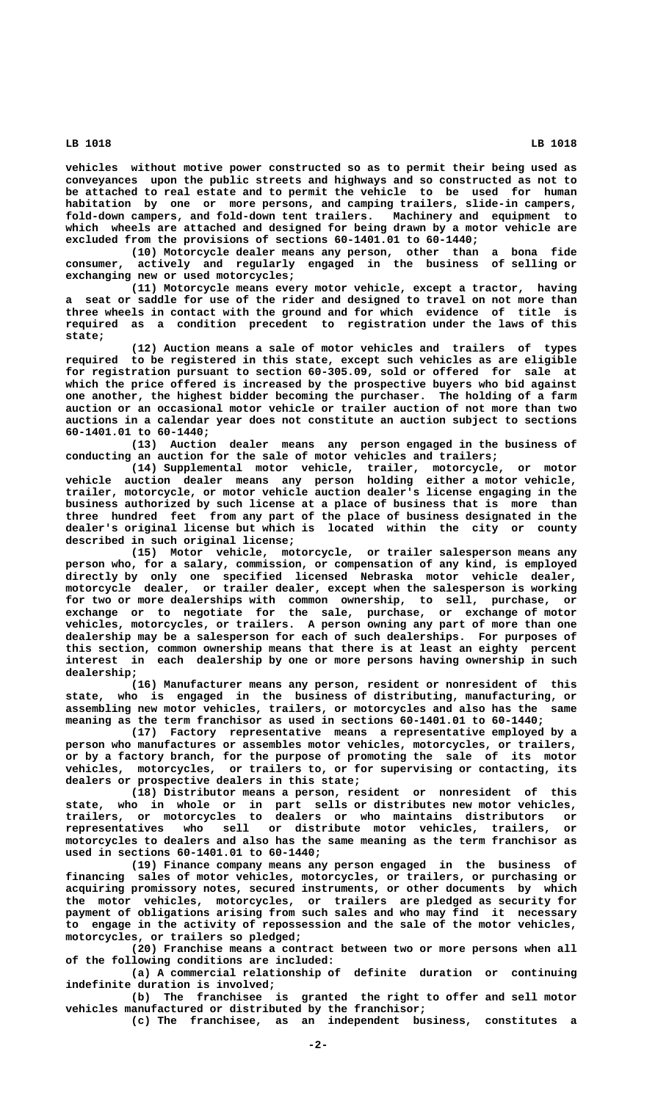**vehicles without motive power constructed so as to permit their being used as conveyances upon the public streets and highways and so constructed as not to be attached to real estate and to permit the vehicle to be used for human habitation by one or more persons, and camping trailers, slide-in campers, fold-down campers, and fold-down tent trailers. Machinery and equipment to which wheels are attached and designed for being drawn by a motor vehicle are excluded from the provisions of sections 60-1401.01 to 60-1440;**

**(10) Motorcycle dealer means any person, other than a bona fide consumer, actively and regularly engaged in the business of selling or exchanging new or used motorcycles;**

**(11) Motorcycle means every motor vehicle, except a tractor, having a seat or saddle for use of the rider and designed to travel on not more than three wheels in contact with the ground and for which evidence of title is required as a condition precedent to registration under the laws of this state;**

**(12) Auction means a sale of motor vehicles and trailers of types required to be registered in this state, except such vehicles as are eligible for registration pursuant to section 60-305.09, sold or offered for sale at which the price offered is increased by the prospective buyers who bid against one another, the highest bidder becoming the purchaser. The holding of a farm auction or an occasional motor vehicle or trailer auction of not more than two auctions in a calendar year does not constitute an auction subject to sections 60-1401.01 to 60-1440;**

**(13) Auction dealer means any person engaged in the business of conducting an auction for the sale of motor vehicles and trailers;**

**(14) Supplemental motor vehicle, trailer, motorcycle, or motor vehicle auction dealer means any person holding either a motor vehicle, trailer, motorcycle, or motor vehicle auction dealer's license engaging in the business authorized by such license at a place of business that is more than three hundred feet from any part of the place of business designated in the dealer's original license but which is located within the city or county described in such original license;**

**(15) Motor vehicle, motorcycle, or trailer salesperson means any person who, for a salary, commission, or compensation of any kind, is employed directly by only one specified licensed Nebraska motor vehicle dealer, motorcycle dealer, or trailer dealer, except when the salesperson is working for two or more dealerships with common ownership, to sell, purchase, or exchange or to negotiate for the sale, purchase, or exchange of motor vehicles, motorcycles, or trailers. A person owning any part of more than one dealership may be a salesperson for each of such dealerships. For purposes of this section, common ownership means that there is at least an eighty percent interest in each dealership by one or more persons having ownership in such dealership;**

**(16) Manufacturer means any person, resident or nonresident of this state, who is engaged in the business of distributing, manufacturing, or assembling new motor vehicles, trailers, or motorcycles and also has the same meaning as the term franchisor as used in sections 60-1401.01 to 60-1440;**

**(17) Factory representative means a representative employed by a person who manufactures or assembles motor vehicles, motorcycles, or trailers, or by a factory branch, for the purpose of promoting the sale of its motor vehicles, motorcycles, or trailers to, or for supervising or contacting, its dealers or prospective dealers in this state;**

**(18) Distributor means a person, resident or nonresident of this state, who in whole or in part sells or distributes new motor vehicles, trailers, or motorcycles to dealers or who maintains distributors or representatives who sell or distribute motor vehicles, trailers, or motorcycles to dealers and also has the same meaning as the term franchisor as used in sections 60-1401.01 to 60-1440;**

**(19) Finance company means any person engaged in the business of financing sales of motor vehicles, motorcycles, or trailers, or purchasing or acquiring promissory notes, secured instruments, or other documents by which the motor vehicles, motorcycles, or trailers are pledged as security for payment of obligations arising from such sales and who may find it necessary to engage in the activity of repossession and the sale of the motor vehicles, motorcycles, or trailers so pledged;**

**(20) Franchise means a contract between two or more persons when all of the following conditions are included:**

**(a) A commercial relationship of definite duration or continuing indefinite duration is involved;**

**(b) The franchisee is granted the right to offer and sell motor vehicles manufactured or distributed by the franchisor;**

**(c) The franchisee, as an independent business, constitutes a**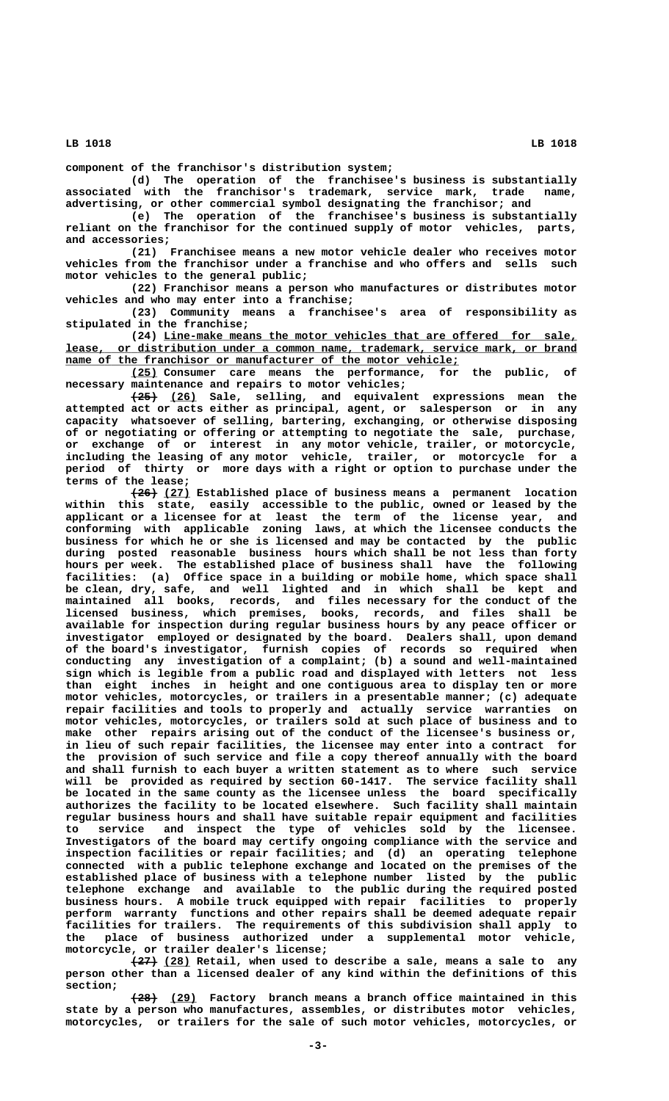**component of the franchisor's distribution system;**

**(d) The operation of the franchisee's business is substantially associated with the franchisor's trademark, service mark, trade name, advertising, or other commercial symbol designating the franchisor; and**

**(e) The operation of the franchisee's business is substantially reliant on the franchisor for the continued supply of motor vehicles, parts, and accessories;**

**(21) Franchisee means a new motor vehicle dealer who receives motor vehicles from the franchisor under a franchise and who offers and sells such motor vehicles to the general public;**

**(22) Franchisor means a person who manufactures or distributes motor vehicles and who may enter into a franchise;**

**(23) Community means a franchisee's area of responsibility as stipulated in the franchise;**

 **\_\_\_\_\_\_\_\_\_\_\_\_\_\_\_\_\_\_\_\_\_\_\_\_\_\_\_\_\_\_\_\_\_\_\_\_\_\_\_\_\_\_\_\_\_\_\_\_\_\_\_\_\_\_\_\_\_\_\_\_\_\_\_ (24) Line-make means the motor vehicles that are offered for sale, \_\_\_\_\_\_\_\_\_\_\_\_\_\_\_\_\_\_\_\_\_\_\_\_\_\_\_\_\_\_\_\_\_\_\_\_\_\_\_\_\_\_\_\_\_\_\_\_\_\_\_\_\_\_\_\_\_\_\_\_\_\_\_\_\_\_\_\_\_\_\_\_\_\_\_\_\_\_ lease, or distribution under a common name, trademark, service mark, or brand**  $name of the franc history or manufacturer of the motor vehicle;$ 

 **\_\_\_\_ (25) Consumer care means the performance, for the public, of necessary maintenance and repairs to motor vehicles;**

 **———— \_\_\_\_ (25) (26) Sale, selling, and equivalent expressions mean the attempted act or acts either as principal, agent, or salesperson or in any capacity whatsoever of selling, bartering, exchanging, or otherwise disposing of or negotiating or offering or attempting to negotiate the sale, purchase, or exchange of or interest in any motor vehicle, trailer, or motorcycle, including the leasing of any motor vehicle, trailer, or motorcycle for a period of thirty or more days with a right or option to purchase under the terms of the lease;**

> **———— \_\_\_\_ (26) (27) Established place of business means a permanent location within this state, easily accessible to the public, owned or leased by the applicant or a licensee for at least the term of the license year, and conforming with applicable zoning laws, at which the licensee conducts the business for which he or she is licensed and may be contacted by the public during posted reasonable business hours which shall be not less than forty hours per week. The established place of business shall have the following facilities: (a) Office space in a building or mobile home, which space shall be clean, dry, safe, and well lighted and in which shall be kept and maintained all books, records, and files necessary for the conduct of the licensed business, which premises, books, records, and files shall be available for inspection during regular business hours by any peace officer or investigator employed or designated by the board. Dealers shall, upon demand of the board's investigator, furnish copies of records so required when conducting any investigation of a complaint; (b) a sound and well-maintained sign which is legible from a public road and displayed with letters not less than eight inches in height and one contiguous area to display ten or more motor vehicles, motorcycles, or trailers in a presentable manner; (c) adequate repair facilities and tools to properly and actually service warranties on motor vehicles, motorcycles, or trailers sold at such place of business and to make other repairs arising out of the conduct of the licensee's business or, in lieu of such repair facilities, the licensee may enter into a contract for the provision of such service and file a copy thereof annually with the board and shall furnish to each buyer a written statement as to where such service will be provided as required by section 60-1417. The service facility shall be located in the same county as the licensee unless the board specifically authorizes the facility to be located elsewhere. Such facility shall maintain regular business hours and shall have suitable repair equipment and facilities to service and inspect the type of vehicles sold by the licensee. Investigators of the board may certify ongoing compliance with the service and inspection facilities or repair facilities; and (d) an operating telephone connected with a public telephone exchange and located on the premises of the established place of business with a telephone number listed by the public telephone exchange and available to the public during the required posted business hours. A mobile truck equipped with repair facilities to properly perform warranty functions and other repairs shall be deemed adequate repair facilities for trailers. The requirements of this subdivision shall apply to the place of business authorized under a supplemental motor vehicle, motorcycle, or trailer dealer's license;**

> **———— \_\_\_\_ (27) (28) Retail, when used to describe a sale, means a sale to any person other than a licensed dealer of any kind within the definitions of this section;**

> **———— \_\_\_\_ (28) (29) Factory branch means a branch office maintained in this state by a person who manufactures, assembles, or distributes motor vehicles, motorcycles, or trailers for the sale of such motor vehicles, motorcycles, or**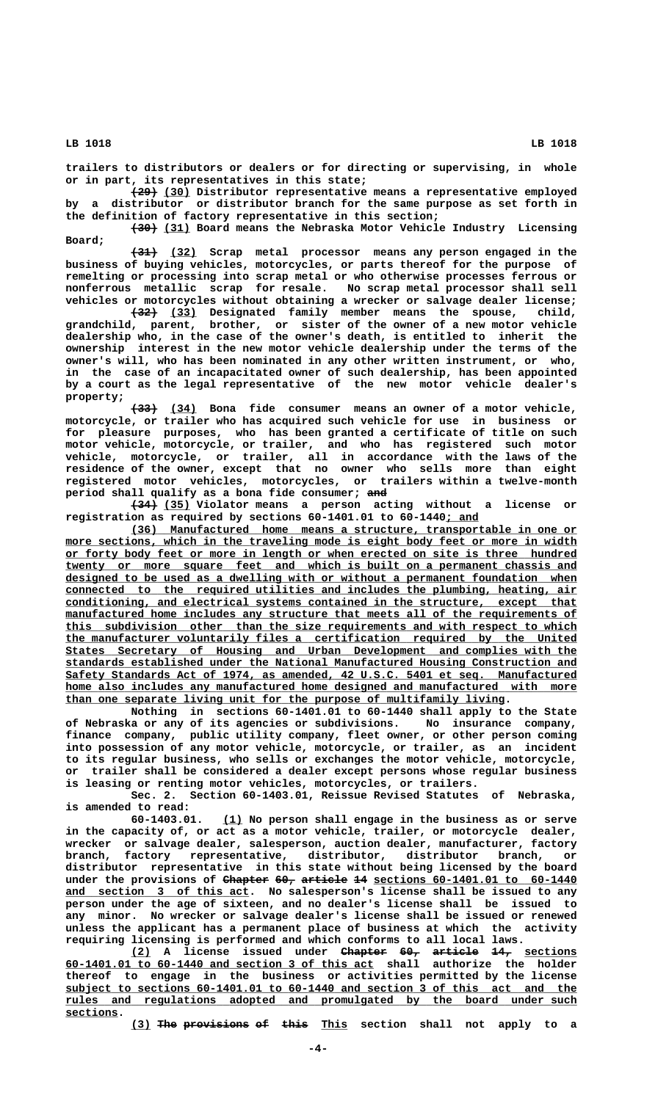**trailers to distributors or dealers or for directing or supervising, in whole or in part, its representatives in this state;**

 **———— \_\_\_\_ (29) (30) Distributor representative means a representative employed by a distributor or distributor branch for the same purpose as set forth in the definition of factory representative in this section;**

 **———— \_\_\_\_ (30) (31) Board means the Nebraska Motor Vehicle Industry Licensing Board;**

 **———— \_\_\_\_ (31) (32) Scrap metal processor means any person engaged in the business of buying vehicles, motorcycles, or parts thereof for the purpose of remelting or processing into scrap metal or who otherwise processes ferrous or nonferrous metallic scrap for resale. No scrap metal processor shall sell vehicles or motorcycles without obtaining a wrecker or salvage dealer license;**

**(32)** (33) Designated family member means the spouse, child, **grandchild, parent, brother, or sister of the owner of a new motor vehicle dealership who, in the case of the owner's death, is entitled to inherit the ownership interest in the new motor vehicle dealership under the terms of the owner's will, who has been nominated in any other written instrument, or who, in the case of an incapacitated owner of such dealership, has been appointed by a court as the legal representative of the new motor vehicle dealer's property;**

 **———— \_\_\_\_ (33) (34) Bona fide consumer means an owner of a motor vehicle, motorcycle, or trailer who has acquired such vehicle for use in business or for pleasure purposes, who has been granted a certificate of title on such motor vehicle, motorcycle, or trailer, and who has registered such motor vehicle, motorcycle, or trailer, all in accordance with the laws of the residence of the owner, except that no owner who sells more than eight registered motor vehicles, motorcycles, or trailers within a twelve-month period shall qualify as a bona fide consumer; and ———**

 **———— \_\_\_\_ (34) (35) Violator means a person acting without a license or registration as required by sections 60-1401.01 to 60-1440; and \_\_\_\_\_**

 **\_\_\_\_\_\_\_\_\_\_\_\_\_\_\_\_\_\_\_\_\_\_\_\_\_\_\_\_\_\_\_\_\_\_\_\_\_\_\_\_\_\_\_\_\_\_\_\_\_\_\_\_\_\_\_\_\_\_\_\_\_\_\_\_\_\_\_\_ (36) Manufactured home means a structure, transportable in one or**  $more$  sections, which in the traveling mode is eight body feet or more in width  **\_\_\_\_\_\_\_\_\_\_\_\_\_\_\_\_\_\_\_\_\_\_\_\_\_\_\_\_\_\_\_\_\_\_\_\_\_\_\_\_\_\_\_\_\_\_\_\_\_\_\_\_\_\_\_\_\_\_\_\_\_\_\_\_\_\_\_\_\_\_\_\_\_\_\_\_\_\_ or forty body feet or more in length or when erected on site is three hundred \_\_\_\_\_\_\_\_\_\_\_\_\_\_\_\_\_\_\_\_\_\_\_\_\_\_\_\_\_\_\_\_\_\_\_\_\_\_\_\_\_\_\_\_\_\_\_\_\_\_\_\_\_\_\_\_\_\_\_\_\_\_\_\_\_\_\_\_\_\_\_\_\_\_\_\_\_\_ twenty or more square feet and which is built on a permanent chassis and \_\_\_\_\_\_\_\_\_\_\_\_\_\_\_\_\_\_\_\_\_\_\_\_\_\_\_\_\_\_\_\_\_\_\_\_\_\_\_\_\_\_\_\_\_\_\_\_\_\_\_\_\_\_\_\_\_\_\_\_\_\_\_\_\_\_\_\_\_\_\_\_\_\_\_\_\_\_ designed to be used as a dwelling with or without a permanent foundation when** connected to the required utilities and includes the plumbing, heating, air  **\_\_\_\_\_\_\_\_\_\_\_\_\_\_\_\_\_\_\_\_\_\_\_\_\_\_\_\_\_\_\_\_\_\_\_\_\_\_\_\_\_\_\_\_\_\_\_\_\_\_\_\_\_\_\_\_\_\_\_\_\_\_\_\_\_\_\_\_\_\_\_\_\_\_\_\_\_\_ conditioning, and electrical systems contained in the structure, except that**  $manufactured home includes any structure that meets all of the requirements of$  **\_\_\_\_\_\_\_\_\_\_\_\_\_\_\_\_\_\_\_\_\_\_\_\_\_\_\_\_\_\_\_\_\_\_\_\_\_\_\_\_\_\_\_\_\_\_\_\_\_\_\_\_\_\_\_\_\_\_\_\_\_\_\_\_\_\_\_\_\_\_\_\_\_\_\_\_\_\_ this subdivision other than the size requirements and with respect to which \_\_\_\_\_\_\_\_\_\_\_\_\_\_\_\_\_\_\_\_\_\_\_\_\_\_\_\_\_\_\_\_\_\_\_\_\_\_\_\_\_\_\_\_\_\_\_\_\_\_\_\_\_\_\_\_\_\_\_\_\_\_\_\_\_\_\_\_\_\_\_\_\_\_\_\_\_\_ the manufacturer voluntarily files a certification required by the United \_\_\_\_\_\_\_\_\_\_\_\_\_\_\_\_\_\_\_\_\_\_\_\_\_\_\_\_\_\_\_\_\_\_\_\_\_\_\_\_\_\_\_\_\_\_\_\_\_\_\_\_\_\_\_\_\_\_\_\_\_\_\_\_\_\_\_\_\_\_\_\_\_\_\_\_\_\_ States Secretary of Housing and Urban Development and complies with the \_\_\_\_\_\_\_\_\_\_\_\_\_\_\_\_\_\_\_\_\_\_\_\_\_\_\_\_\_\_\_\_\_\_\_\_\_\_\_\_\_\_\_\_\_\_\_\_\_\_\_\_\_\_\_\_\_\_\_\_\_\_\_\_\_\_\_\_\_\_\_\_\_\_\_\_\_\_ standards established under the National Manufactured Housing Construction and \_\_\_\_\_\_\_\_\_\_\_\_\_\_\_\_\_\_\_\_\_\_\_\_\_\_\_\_\_\_\_\_\_\_\_\_\_\_\_\_\_\_\_\_\_\_\_\_\_\_\_\_\_\_\_\_\_\_\_\_\_\_\_\_\_\_\_\_\_\_\_\_\_\_\_\_\_\_ Safety Standards Act of 1974, as amended, 42 U.S.C. 5401 et seq. Manufactured** home also includes any manufactured home designed and manufactured with more  **\_\_\_\_\_\_\_\_\_\_\_\_\_\_\_\_\_\_\_\_\_\_\_\_\_\_\_\_\_\_\_\_\_\_\_\_\_\_\_\_\_\_\_\_\_\_\_\_\_\_\_\_\_\_\_\_\_\_\_\_\_\_\_\_\_\_\_ than one separate living unit for the purpose of multifamily living.**

**Nothing in sections 60-1401.01 to 60-1440 shall apply to the State of Nebraska or any of its agencies or subdivisions. No insurance company, finance company, public utility company, fleet owner, or other person coming into possession of any motor vehicle, motorcycle, or trailer, as an incident to its regular business, who sells or exchanges the motor vehicle, motorcycle, or trailer shall be considered a dealer except persons whose regular business is leasing or renting motor vehicles, motorcycles, or trailers.**

**Sec. 2. Section 60-1403.01, Reissue Revised Statutes of Nebraska, is amended to read:**

**(1)** No person shall engage in the business as or serve **in the capacity of, or act as a motor vehicle, trailer, or motorcycle dealer, wrecker or salvage dealer, salesperson, auction dealer, manufacturer, factory branch, factory representative, distributor, distributor branch, or distributor representative in this state without being licensed by the board** under the provisions of Chapter 60, article 14 sections 60-1401.01 to 60-1440  **\_\_\_\_\_\_\_\_\_\_\_\_\_\_\_\_\_\_\_\_\_\_\_\_\_\_\_\_ and section 3 of this act. No salesperson's license shall be issued to any person under the age of sixteen, and no dealer's license shall be issued to any minor. No wrecker or salvage dealer's license shall be issued or renewed unless the applicant has a permanent place of business at which the activity requiring licensing is performed and which conforms to all local laws.**

**(2) A license issued under Chapter 60, article 14, sections \_\_\_ ——————— ——— ——————— ——— \_\_\_\_\_\_\_\_ \_\_\_\_\_\_\_\_\_\_\_\_\_\_\_\_\_\_\_\_\_\_\_\_\_\_\_\_\_\_\_\_\_\_\_\_\_\_\_\_\_\_\_\_\_\_\_ 60-1401.01 to 60-1440 and section 3 of this act shall authorize the holder thereof to engage in the business or activities permitted by the license \_\_\_\_\_\_\_\_\_\_\_\_\_\_\_\_\_\_\_\_\_\_\_\_\_\_\_\_\_\_\_\_\_\_\_\_\_\_\_\_\_\_\_\_\_\_\_\_\_\_\_\_\_\_\_\_\_\_\_\_\_\_\_\_\_\_\_\_\_\_\_\_\_\_\_\_\_\_ subject to sections 60-1401.01 to 60-1440 and section 3 of this act and the \_\_\_\_\_\_\_\_\_\_\_\_\_\_\_\_\_\_\_\_\_\_\_\_\_\_\_\_\_\_\_\_\_\_\_\_\_\_\_\_\_\_\_\_\_\_\_\_\_\_\_\_\_\_\_\_\_\_\_\_\_\_\_\_\_\_\_\_\_\_\_\_\_\_\_\_\_\_ rules and regulations adopted and promulgated by the board under such sections. \_\_\_\_\_\_\_\_**

(3) The provisions of this This section shall not apply to a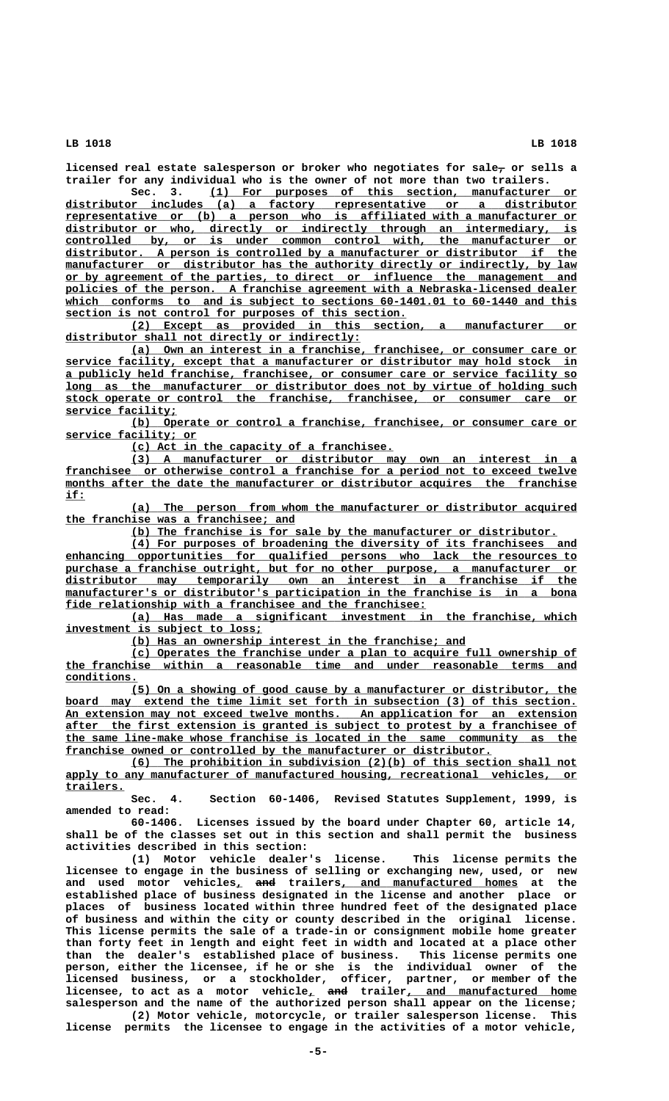licensed real estate salesperson or broker who negotiates for sale<sub>7</sub> or sells a **trailer for any individual who is the owner of not more than two trailers.**

 **\_\_\_\_\_\_\_\_\_\_\_\_\_\_\_\_\_\_\_\_\_\_\_\_\_\_\_\_\_\_\_\_\_\_\_\_\_\_\_\_\_\_\_\_\_\_\_\_\_\_\_\_\_\_\_\_ Sec. 3. (1) For purposes of this section, manufacturer or \_\_\_\_\_\_\_\_\_\_\_\_\_\_\_\_\_\_\_\_\_\_\_\_\_\_\_\_\_\_\_\_\_\_\_\_\_\_\_\_\_\_\_\_\_\_\_\_\_\_\_\_\_\_\_\_\_\_\_\_\_\_\_\_\_\_\_\_\_\_\_\_\_\_\_\_\_\_ distributor includes (a) a factory representative or a distributor \_\_\_\_\_\_\_\_\_\_\_\_\_\_\_\_\_\_\_\_\_\_\_\_\_\_\_\_\_\_\_\_\_\_\_\_\_\_\_\_\_\_\_\_\_\_\_\_\_\_\_\_\_\_\_\_\_\_\_\_\_\_\_\_\_\_\_\_\_\_\_\_\_\_\_\_\_\_ representative or (b) a person who is affiliated with a manufacturer or \_\_\_\_\_\_\_\_\_\_\_\_\_\_\_\_\_\_\_\_\_\_\_\_\_\_\_\_\_\_\_\_\_\_\_\_\_\_\_\_\_\_\_\_\_\_\_\_\_\_\_\_\_\_\_\_\_\_\_\_\_\_\_\_\_\_\_\_\_\_\_\_\_\_\_\_\_\_ distributor or who, directly or indirectly through an intermediary, is \_\_\_\_\_\_\_\_\_\_\_\_\_\_\_\_\_\_\_\_\_\_\_\_\_\_\_\_\_\_\_\_\_\_\_\_\_\_\_\_\_\_\_\_\_\_\_\_\_\_\_\_\_\_\_\_\_\_\_\_\_\_\_\_\_\_\_\_\_\_\_\_\_\_\_\_\_\_ controlled by, or is under common control with, the manufacturer or \_\_\_\_\_\_\_\_\_\_\_\_\_\_\_\_\_\_\_\_\_\_\_\_\_\_\_\_\_\_\_\_\_\_\_\_\_\_\_\_\_\_\_\_\_\_\_\_\_\_\_\_\_\_\_\_\_\_\_\_\_\_\_\_\_\_\_\_\_\_\_\_\_\_\_\_\_\_ distributor. A person is controlled by a manufacturer or distributor if the**  $manufacturer$  or distributor has the authority directly or indirectly, by law  **\_\_\_\_\_\_\_\_\_\_\_\_\_\_\_\_\_\_\_\_\_\_\_\_\_\_\_\_\_\_\_\_\_\_\_\_\_\_\_\_\_\_\_\_\_\_\_\_\_\_\_\_\_\_\_\_\_\_\_\_\_\_\_\_\_\_\_\_\_\_\_\_\_\_\_\_\_\_ or by agreement of the parties, to direct or influence the management and \_\_\_\_\_\_\_\_\_\_\_\_\_\_\_\_\_\_\_\_\_\_\_\_\_\_\_\_\_\_\_\_\_\_\_\_\_\_\_\_\_\_\_\_\_\_\_\_\_\_\_\_\_\_\_\_\_\_\_\_\_\_\_\_\_\_\_\_\_\_\_\_\_\_\_\_\_\_ policies of the person. A franchise agreement with a Nebraska-licensed dealer** which conforms to and is subject to sections 60-1401.01 to 60-1440 and this  **\_\_\_\_\_\_\_\_\_\_\_\_\_\_\_\_\_\_\_\_\_\_\_\_\_\_\_\_\_\_\_\_\_\_\_\_\_\_\_\_\_\_\_\_\_\_\_\_\_\_\_\_ section is not control for purposes of this section.**

 **\_\_\_\_\_\_\_\_\_\_\_\_\_\_\_\_\_\_\_\_\_\_\_\_\_\_\_\_\_\_\_\_\_\_\_\_\_\_\_\_\_\_\_\_\_\_\_\_\_\_\_\_\_\_\_\_\_\_\_\_\_\_\_\_\_\_\_\_ (2) Except as provided in this section, a manufacturer or \_\_\_\_\_\_\_\_\_\_\_\_\_\_\_\_\_\_\_\_\_\_\_\_\_\_\_\_\_\_\_\_\_\_\_\_\_\_\_\_\_\_\_\_\_ distributor shall not directly or indirectly:**

 **\_\_\_\_\_\_\_\_\_\_\_\_\_\_\_\_\_\_\_\_\_\_\_\_\_\_\_\_\_\_\_\_\_\_\_\_\_\_\_\_\_\_\_\_\_\_\_\_\_\_\_\_\_\_\_\_\_\_\_\_\_\_\_\_\_\_\_\_ (a) Own an interest in a franchise, franchisee, or consumer care or \_\_\_\_\_\_\_\_\_\_\_\_\_\_\_\_\_\_\_\_\_\_\_\_\_\_\_\_\_\_\_\_\_\_\_\_\_\_\_\_\_\_\_\_\_\_\_\_\_\_\_\_\_\_\_\_\_\_\_\_\_\_\_\_\_\_\_\_\_\_\_\_\_\_\_\_\_\_ service facility, except that a manufacturer or distributor may hold stock in \_\_\_\_\_\_\_\_\_\_\_\_\_\_\_\_\_\_\_\_\_\_\_\_\_\_\_\_\_\_\_\_\_\_\_\_\_\_\_\_\_\_\_\_\_\_\_\_\_\_\_\_\_\_\_\_\_\_\_\_\_\_\_\_\_\_\_\_\_\_\_\_\_\_\_\_\_\_ a publicly held franchise, franchisee, or consumer care or service facility so \_\_\_\_\_\_\_\_\_\_\_\_\_\_\_\_\_\_\_\_\_\_\_\_\_\_\_\_\_\_\_\_\_\_\_\_\_\_\_\_\_\_\_\_\_\_\_\_\_\_\_\_\_\_\_\_\_\_\_\_\_\_\_\_\_\_\_\_\_\_\_\_\_\_\_\_\_\_ long as the manufacturer or distributor does not by virtue of holding such \_\_\_\_\_\_\_\_\_\_\_\_\_\_\_\_\_\_\_\_\_\_\_\_\_\_\_\_\_\_\_\_\_\_\_\_\_\_\_\_\_\_\_\_\_\_\_\_\_\_\_\_\_\_\_\_\_\_\_\_\_\_\_\_\_\_\_\_\_\_\_\_\_\_\_\_\_\_ stock operate or control the franchise, franchisee, or consumer care or service facility; \_\_\_\_\_\_\_\_\_\_\_\_\_\_\_\_\_**

 **\_\_\_\_\_\_\_\_\_\_\_\_\_\_\_\_\_\_\_\_\_\_\_\_\_\_\_\_\_\_\_\_\_\_\_\_\_\_\_\_\_\_\_\_\_\_\_\_\_\_\_\_\_\_\_\_\_\_\_\_\_\_\_\_\_\_\_\_ (b) Operate or control a franchise, franchisee, or consumer care or \_\_\_\_\_\_\_\_\_\_\_\_\_\_\_\_\_\_\_\_ service facility; or**

 **\_\_\_\_\_\_\_\_\_\_\_\_\_\_\_\_\_\_\_\_\_\_\_\_\_\_\_\_\_\_\_\_\_\_\_\_\_\_\_\_ (c) Act in the capacity of a franchisee.**

 **\_\_\_\_\_\_\_\_\_\_\_\_\_\_\_\_\_\_\_\_\_\_\_\_\_\_\_\_\_\_\_\_\_\_\_\_\_\_\_\_\_\_\_\_\_\_\_\_\_\_\_\_\_\_\_\_\_\_\_\_\_\_\_\_\_\_\_\_ (3) A manufacturer or distributor may own an interest in a \_\_\_\_\_\_\_\_\_\_\_\_\_\_\_\_\_\_\_\_\_\_\_\_\_\_\_\_\_\_\_\_\_\_\_\_\_\_\_\_\_\_\_\_\_\_\_\_\_\_\_\_\_\_\_\_\_\_\_\_\_\_\_\_\_\_\_\_\_\_\_\_\_\_\_\_\_\_ franchisee or otherwise control a franchise for a period not to exceed twelve** months after the date the manufacturer or distributor acquires the franchise  **if: \_\_\_**

 **\_\_\_\_\_\_\_\_\_\_\_\_\_\_\_\_\_\_\_\_\_\_\_\_\_\_\_\_\_\_\_\_\_\_\_\_\_\_\_\_\_\_\_\_\_\_\_\_\_\_\_\_\_\_\_\_\_\_\_\_\_\_\_\_\_\_\_\_ (a) The person from whom the manufacturer or distributor acquired \_\_\_\_\_\_\_\_\_\_\_\_\_\_\_\_\_\_\_\_\_\_\_\_\_\_\_\_\_\_\_\_\_\_\_ the franchise was a franchisee; and**

 **\_\_\_\_\_\_\_\_\_\_\_\_\_\_\_\_\_\_\_\_\_\_\_\_\_\_\_\_\_\_\_\_\_\_\_\_\_\_\_\_\_\_\_\_\_\_\_\_\_\_\_\_\_\_\_\_\_\_\_\_\_\_\_\_\_ (b) The franchise is for sale by the manufacturer or distributor.**

 **\_\_\_\_\_\_\_\_\_\_\_\_\_\_\_\_\_\_\_\_\_\_\_\_\_\_\_\_\_\_\_\_\_\_\_\_\_\_\_\_\_\_\_\_\_\_\_\_\_\_\_\_\_\_\_\_\_\_\_\_\_\_\_\_\_\_\_\_ (4) For purposes of broadening the diversity of its franchisees and \_\_\_\_\_\_\_\_\_\_\_\_\_\_\_\_\_\_\_\_\_\_\_\_\_\_\_\_\_\_\_\_\_\_\_\_\_\_\_\_\_\_\_\_\_\_\_\_\_\_\_\_\_\_\_\_\_\_\_\_\_\_\_\_\_\_\_\_\_\_\_\_\_\_\_\_\_\_ enhancing opportunities for qualified persons who lack the resources to \_\_\_\_\_\_\_\_\_\_\_\_\_\_\_\_\_\_\_\_\_\_\_\_\_\_\_\_\_\_\_\_\_\_\_\_\_\_\_\_\_\_\_\_\_\_\_\_\_\_\_\_\_\_\_\_\_\_\_\_\_\_\_\_\_\_\_\_\_\_\_\_\_\_\_\_\_\_ purchase a franchise outright, but for no other purpose, a manufacturer or**  $distributor$  may temporarily own an interest in a franchise if the  $manufacturer's$  or distributor's participation in the franchise is in a bona  **\_\_\_\_\_\_\_\_\_\_\_\_\_\_\_\_\_\_\_\_\_\_\_\_\_\_\_\_\_\_\_\_\_\_\_\_\_\_\_\_\_\_\_\_\_\_\_\_\_\_\_\_\_\_\_ fide relationship with a franchisee and the franchisee:**

 **\_\_\_\_\_\_\_\_\_\_\_\_\_\_\_\_\_\_\_\_\_\_\_\_\_\_\_\_\_\_\_\_\_\_\_\_\_\_\_\_\_\_\_\_\_\_\_\_\_\_\_\_\_\_\_\_\_\_\_\_\_\_\_\_\_\_\_\_ (a) Has made a significant investment in the franchise, which \_\_\_\_\_\_\_\_\_\_\_\_\_\_\_\_\_\_\_\_\_\_\_\_\_\_\_\_\_\_ investment is subject to loss;**

 **\_\_\_\_\_\_\_\_\_\_\_\_\_\_\_\_\_\_\_\_\_\_\_\_\_\_\_\_\_\_\_\_\_\_\_\_\_\_\_\_\_\_\_\_\_\_\_\_\_\_\_ (b) Has an ownership interest in the franchise; and**

 **\_\_\_\_\_\_\_\_\_\_\_\_\_\_\_\_\_\_\_\_\_\_\_\_\_\_\_\_\_\_\_\_\_\_\_\_\_\_\_\_\_\_\_\_\_\_\_\_\_\_\_\_\_\_\_\_\_\_\_\_\_\_\_\_\_\_\_\_ (c) Operates the franchise under a plan to acquire full ownership of \_\_\_\_\_\_\_\_\_\_\_\_\_\_\_\_\_\_\_\_\_\_\_\_\_\_\_\_\_\_\_\_\_\_\_\_\_\_\_\_\_\_\_\_\_\_\_\_\_\_\_\_\_\_\_\_\_\_\_\_\_\_\_\_\_\_\_\_\_\_\_\_\_\_\_\_\_\_ the franchise within a reasonable time and under reasonable terms and conditions. \_\_\_\_\_\_\_\_\_\_\_**

 **\_\_\_\_\_\_\_\_\_\_\_\_\_\_\_\_\_\_\_\_\_\_\_\_\_\_\_\_\_\_\_\_\_\_\_\_\_\_\_\_\_\_\_\_\_\_\_\_\_\_\_\_\_\_\_\_\_\_\_\_\_\_\_\_\_\_\_\_ (5) On a showing of good cause by a manufacturer or distributor, the** board may extend the time limit set forth in subsection (3) of this section.  **\_\_\_\_\_\_\_\_\_\_\_\_\_\_\_\_\_\_\_\_\_\_\_\_\_\_\_\_\_\_\_\_\_\_\_\_\_\_\_\_\_\_\_\_\_\_\_\_\_\_\_\_\_\_\_\_\_\_\_\_\_\_\_\_\_\_\_\_\_\_\_\_\_\_\_\_\_\_ An extension may not exceed twelve months. An application for an extension \_\_\_\_\_\_\_\_\_\_\_\_\_\_\_\_\_\_\_\_\_\_\_\_\_\_\_\_\_\_\_\_\_\_\_\_\_\_\_\_\_\_\_\_\_\_\_\_\_\_\_\_\_\_\_\_\_\_\_\_\_\_\_\_\_\_\_\_\_\_\_\_\_\_\_\_\_\_ after the first extension is granted is subject to protest by a franchisee of \_\_\_\_\_\_\_\_\_\_\_\_\_\_\_\_\_\_\_\_\_\_\_\_\_\_\_\_\_\_\_\_\_\_\_\_\_\_\_\_\_\_\_\_\_\_\_\_\_\_\_\_\_\_\_\_\_\_\_\_\_\_\_\_\_\_\_\_\_\_\_\_\_\_\_\_\_\_ the same line-make whose franchise is located in the same community as the \_\_\_\_\_\_\_\_\_\_\_\_\_\_\_\_\_\_\_\_\_\_\_\_\_\_\_\_\_\_\_\_\_\_\_\_\_\_\_\_\_\_\_\_\_\_\_\_\_\_\_\_\_\_\_\_\_\_\_\_\_\_\_\_\_ franchise owned or controlled by the manufacturer or distributor.**

 **\_\_\_\_\_\_\_\_\_\_\_\_\_\_\_\_\_\_\_\_\_\_\_\_\_\_\_\_\_\_\_\_\_\_\_\_\_\_\_\_\_\_\_\_\_\_\_\_\_\_\_\_\_\_\_\_\_\_\_\_\_\_\_\_\_\_\_\_ (6) The prohibition in subdivision (2)(b) of this section shall not** apply to any manufacturer of manufactured housing, recreational vehicles, or  **trailers. \_\_\_\_\_\_\_\_\_**

**Sec. 4. Section 60-1406, Revised Statutes Supplement, 1999, is amended to read:**

**60-1406. Licenses issued by the board under Chapter 60, article 14, shall be of the classes set out in this section and shall permit the business activities described in this section:**

**(1) Motor vehicle dealer's license. This license permits the licensee to engage in the business of selling or exchanging new, used, or new** and used motor vehicles<sub>*i*</sub> and trailers, and manufactured homes at the **established place of business designated in the license and another place or places of business located within three hundred feet of the designated place of business and within the city or county described in the original license. This license permits the sale of a trade-in or consignment mobile home greater than forty feet in length and eight feet in width and located at a place other than the dealer's established place of business. This license permits one person, either the licensee, if he or she is the individual owner of the licensed business, or a stockholder, officer, partner, or member of the \_ ——— \_\_\_\_\_\_\_\_\_\_\_\_\_\_\_\_\_\_\_\_\_\_\_\_\_\_ licensee, to act as a motor vehicle, and trailer, and manufactured home salesperson and the name of the authorized person shall appear on the license; (2) Motor vehicle, motorcycle, or trailer salesperson license. This**

**license permits the licensee to engage in the activities of a motor vehicle,**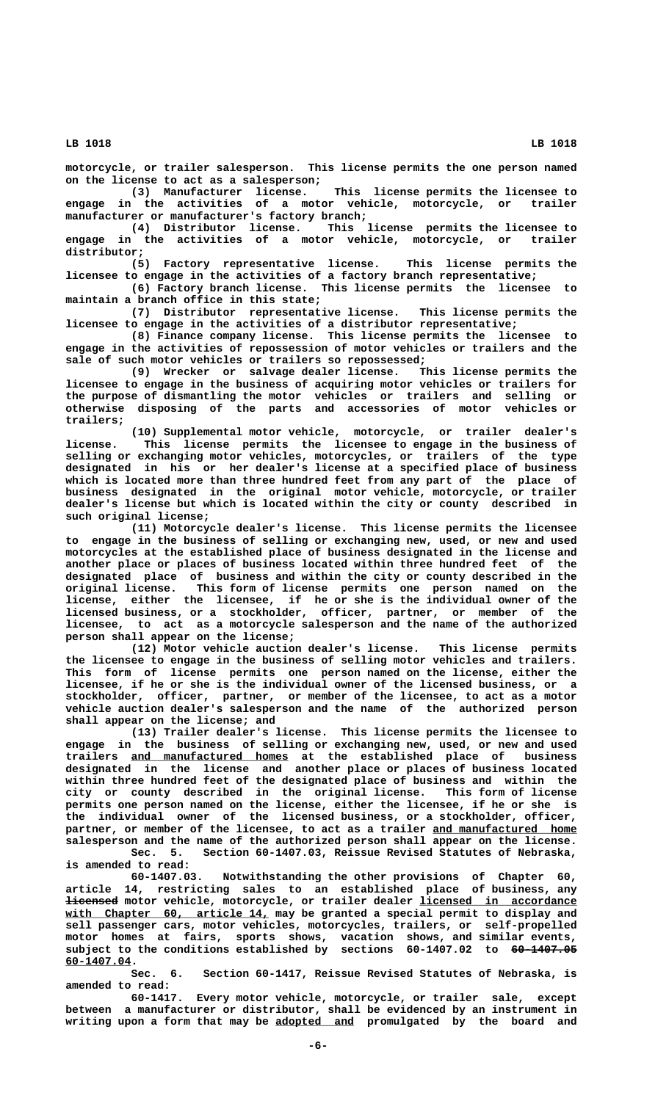**motorcycle, or trailer salesperson. This license permits the one person named on the license to act as a salesperson;**

**(3) Manufacturer license. This license permits the licensee to engage in the activities of a motor vehicle, motorcycle, or trailer manufacturer or manufacturer's factory branch;**

**(4) Distributor license. This license permits the licensee to engage in the activities of a motor vehicle, motorcycle, or trailer distributor;**

**(5) Factory representative license. This license permits the licensee to engage in the activities of a factory branch representative;**

**(6) Factory branch license. This license permits the licensee to maintain a branch office in this state;**

**(7) Distributor representative license. This license permits the licensee to engage in the activities of a distributor representative;**

**(8) Finance company license. This license permits the licensee to engage in the activities of repossession of motor vehicles or trailers and the sale of such motor vehicles or trailers so repossessed;**

**(9) Wrecker or salvage dealer license. This license permits the licensee to engage in the business of acquiring motor vehicles or trailers for the purpose of dismantling the motor vehicles or trailers and selling or otherwise disposing of the parts and accessories of motor vehicles or trailers;**

**(10) Supplemental motor vehicle, motorcycle, or trailer dealer's license. This license permits the licensee to engage in the business of selling or exchanging motor vehicles, motorcycles, or trailers of the type designated in his or her dealer's license at a specified place of business which is located more than three hundred feet from any part of the place of business designated in the original motor vehicle, motorcycle, or trailer dealer's license but which is located within the city or county described in such original license;**

**(11) Motorcycle dealer's license. This license permits the licensee to engage in the business of selling or exchanging new, used, or new and used motorcycles at the established place of business designated in the license and another place or places of business located within three hundred feet of the designated place of business and within the city or county described in the original license. This form of license permits one person named on the license, either the licensee, if he or she is the individual owner of the licensed business, or a stockholder, officer, partner, or member of the licensee, to act as a motorcycle salesperson and the name of the authorized person shall appear on the license;**

**(12) Motor vehicle auction dealer's license. This license permits the licensee to engage in the business of selling motor vehicles and trailers. This form of license permits one person named on the license, either the licensee, if he or she is the individual owner of the licensed business, or a stockholder, officer, partner, or member of the licensee, to act as a motor vehicle auction dealer's salesperson and the name of the authorized person shall appear on the license; and**

**(13) Trailer dealer's license. This license permits the licensee to engage in the business of selling or exchanging new, used, or new and used** trailers <u>and manufactured homes</u> at the established place of business **designated in the license and another place or places of business located within three hundred feet of the designated place of business and within the city or county described in the original license. This form of license permits one person named on the license, either the licensee, if he or she is the individual owner of the licensed business, or a stockholder, officer,** partner, or member of the licensee, to act as a trailer and manufactured home **salesperson and the name of the authorized person shall appear on the license. Sec. 5. Section 60-1407.03, Reissue Revised Statutes of Nebraska,**

**is amended to read:**

**60-1407.03. Notwithstanding the other provisions of Chapter 60, article 14, restricting sales to an established place of business, any ———————— \_\_\_\_\_\_\_\_\_\_\_\_\_\_\_\_\_\_\_\_\_\_\_\_ licensed motor vehicle, motorcycle, or trailer dealer licensed in accordance** with Chapter 60, article 14, may be granted a special permit to display and **sell passenger cars, motor vehicles, motorcycles, trailers, or self-propelled motor homes at fairs, sports shows, vacation shows, and similar events,** subject to the conditions established by sections 60-1407.02 to <del>60-1407.05</del>  **60-1407.04. \_\_\_\_\_\_\_\_\_\_**

> **Sec. 6. Section 60-1417, Reissue Revised Statutes of Nebraska, is amended to read:**

> **60-1417. Every motor vehicle, motorcycle, or trailer sale, except between a manufacturer or distributor, shall be evidenced by an instrument in \_\_\_\_\_\_\_\_\_\_\_\_ writing upon a form that may be adopted and promulgated by the board and**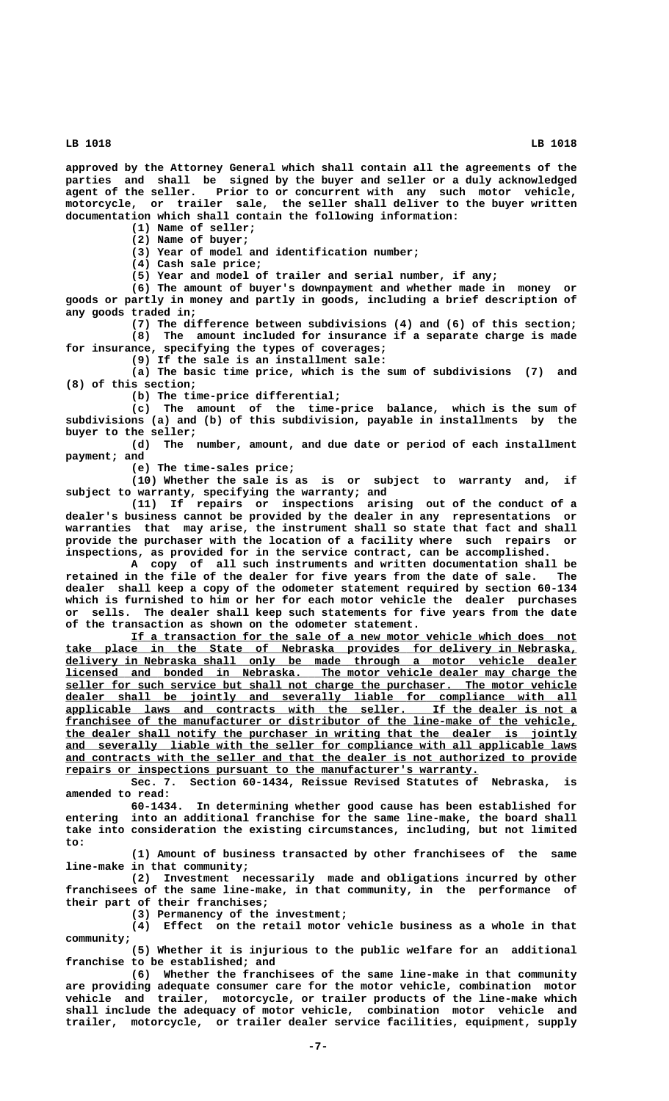**approved by the Attorney General which shall contain all the agreements of the parties and shall be signed by the buyer and seller or a duly acknowledged agent of the seller. Prior to or concurrent with any such motor vehicle, motorcycle, or trailer sale, the seller shall deliver to the buyer written documentation which shall contain the following information:**

**(1) Name of seller;**

**(2) Name of buyer;**

**(3) Year of model and identification number;**

**(4) Cash sale price;**

**(5) Year and model of trailer and serial number, if any;**

**(6) The amount of buyer's downpayment and whether made in money or goods or partly in money and partly in goods, including a brief description of any goods traded in;**

**(7) The difference between subdivisions (4) and (6) of this section; (8) The amount included for insurance if a separate charge is made for insurance, specifying the types of coverages;**

**(9) If the sale is an installment sale:**

**(a) The basic time price, which is the sum of subdivisions (7) and (8) of this section;**

**(b) The time-price differential;**

**(c) The amount of the time-price balance, which is the sum of subdivisions (a) and (b) of this subdivision, payable in installments by the buyer to the seller;**

**(d) The number, amount, and due date or period of each installment payment; and**

**(e) The time-sales price;**

**(10) Whether the sale is as is or subject to warranty and, if subject to warranty, specifying the warranty; and**

**(11) If repairs or inspections arising out of the conduct of a dealer's business cannot be provided by the dealer in any representations or warranties that may arise, the instrument shall so state that fact and shall provide the purchaser with the location of a facility where such repairs or inspections, as provided for in the service contract, can be accomplished.**

**A copy of all such instruments and written documentation shall be retained in the file of the dealer for five years from the date of sale. The dealer shall keep a copy of the odometer statement required by section 60-134 which is furnished to him or her for each motor vehicle the dealer purchases or sells. The dealer shall keep such statements for five years from the date of the transaction as shown on the odometer statement.**

 **\_\_\_\_\_\_\_\_\_\_\_\_\_\_\_\_\_\_\_\_\_\_\_\_\_\_\_\_\_\_\_\_\_\_\_\_\_\_\_\_\_\_\_\_\_\_\_\_\_\_\_\_\_\_\_\_\_\_\_\_\_\_\_\_\_\_\_\_ If a transaction for the sale of a new motor vehicle which does not**  $\frac{ }{\text{take place in the State of Nebraska provides for delivery in Nebraska}$  **\_\_\_\_\_\_\_\_\_\_\_\_\_\_\_\_\_\_\_\_\_\_\_\_\_\_\_\_\_\_\_\_\_\_\_\_\_\_\_\_\_\_\_\_\_\_\_\_\_\_\_\_\_\_\_\_\_\_\_\_\_\_\_\_\_\_\_\_\_\_\_\_\_\_\_\_\_\_ delivery in Nebraska shall only be made through a motor vehicle dealer \_\_\_\_\_\_\_\_\_\_\_\_\_\_\_\_\_\_\_\_\_\_\_\_\_\_\_\_\_\_\_\_\_\_\_\_\_\_\_\_\_\_\_\_\_\_\_\_\_\_\_\_\_\_\_\_\_\_\_\_\_\_\_\_\_\_\_\_\_\_\_\_\_\_\_\_\_\_ licensed and bonded in Nebraska. The motor vehicle dealer may charge the** seller for such service but shall not charge the purchaser. The motor vehicle  $\frac{1}{2}$  dealer shall be jointly and severally liable for compliance with all  **\_\_\_\_\_\_\_\_\_\_\_\_\_\_\_\_\_\_\_\_\_\_\_\_\_\_\_\_\_\_\_\_\_\_\_\_\_\_\_\_\_\_\_\_\_\_\_\_\_\_\_\_\_\_\_\_\_\_\_\_\_\_\_\_\_\_\_\_\_\_\_\_\_\_\_\_\_\_ applicable laws and contracts with the seller. If the dealer is not a \_\_\_\_\_\_\_\_\_\_\_\_\_\_\_\_\_\_\_\_\_\_\_\_\_\_\_\_\_\_\_\_\_\_\_\_\_\_\_\_\_\_\_\_\_\_\_\_\_\_\_\_\_\_\_\_\_\_\_\_\_\_\_\_\_\_\_\_\_\_\_\_\_\_\_\_\_\_ franchisee of the manufacturer or distributor of the line-make of the vehicle, \_\_\_\_\_\_\_\_\_\_\_\_\_\_\_\_\_\_\_\_\_\_\_\_\_\_\_\_\_\_\_\_\_\_\_\_\_\_\_\_\_\_\_\_\_\_\_\_\_\_\_\_\_\_\_\_\_\_\_\_\_\_\_\_\_\_\_\_\_\_\_\_\_\_\_\_\_\_ the dealer shall notify the purchaser in writing that the dealer is jointly** and severally liable with the seller for compliance with all applicable laws  **\_\_\_\_\_\_\_\_\_\_\_\_\_\_\_\_\_\_\_\_\_\_\_\_\_\_\_\_\_\_\_\_\_\_\_\_\_\_\_\_\_\_\_\_\_\_\_\_\_\_\_\_\_\_\_\_\_\_\_\_\_\_\_\_\_\_\_\_\_\_\_\_\_\_\_\_\_\_ and contracts with the seller and that the dealer is not authorized to provide \_\_\_\_\_\_\_\_\_\_\_\_\_\_\_\_\_\_\_\_\_\_\_\_\_\_\_\_\_\_\_\_\_\_\_\_\_\_\_\_\_\_\_\_\_\_\_\_\_\_\_\_\_\_\_\_\_\_\_\_\_\_\_ repairs or inspections pursuant to the manufacturer's warranty.**

**Sec. 7. Section 60-1434, Reissue Revised Statutes of Nebraska, is amended to read:**

**60-1434. In determining whether good cause has been established for entering into an additional franchise for the same line-make, the board shall take into consideration the existing circumstances, including, but not limited to:**

**(1) Amount of business transacted by other franchisees of the same line-make in that community;**

**(2) Investment necessarily made and obligations incurred by other franchisees of the same line-make, in that community, in the performance of their part of their franchises;**

**(3) Permanency of the investment;**

**(4) Effect on the retail motor vehicle business as a whole in that community;**

**(5) Whether it is injurious to the public welfare for an additional franchise to be established; and**

**(6) Whether the franchisees of the same line-make in that community are providing adequate consumer care for the motor vehicle, combination motor vehicle and trailer, motorcycle, or trailer products of the line-make which shall include the adequacy of motor vehicle, combination motor vehicle and trailer, motorcycle, or trailer dealer service facilities, equipment, supply**